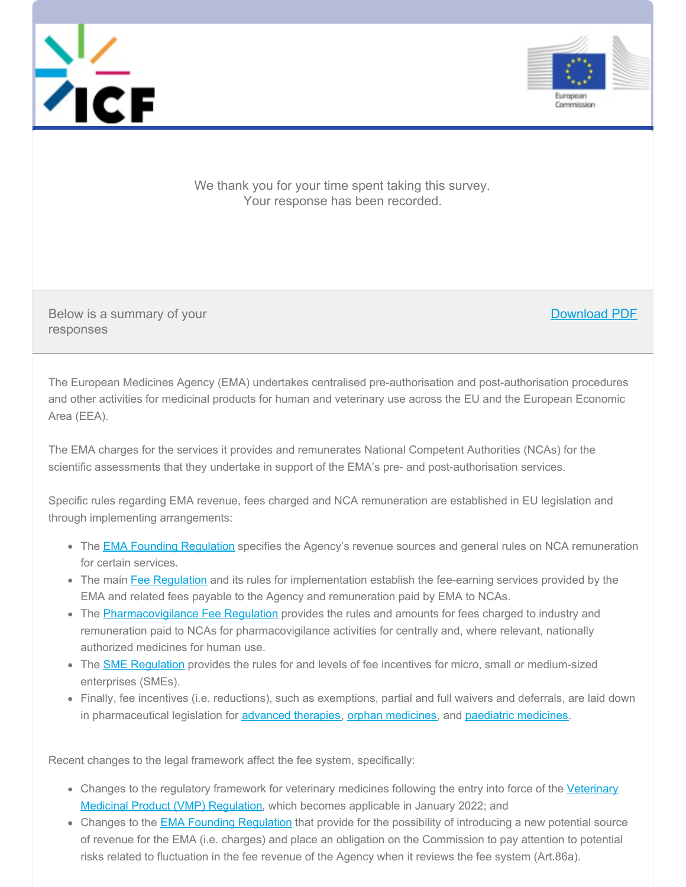



Download PDF

We thank you for your time spent taking this survey. Your response has been recorded.

Below is a summary of your responses

The European Medicines Agency (EMA) undertakes centralised pre-authorisation and post-authorisation procedures and other activities for medicinal products for human and veterinary use across the EU and the European Economic Area (EEA).

The EMA charges for the services it provides and remunerates National Competent Authorities (NCAs) for the scientific assessments that they undertake in support of the EMA's pre- and post-authorisation services.

Specific rules regarding EMA revenue, fees charged and NCA remuneration are established in EU legislation and through implementing arrangements:

- The **EMA Founding [Regulation](https://eur-lex.europa.eu/legal-content/EN/TXT/?qid=1622626922820&uri=CELEX%253A02004R0726-20190330)** specifies the Agency's revenue sources and general rules on NCA remuneration for certain services.
- The main Fee [Regulation](https://eur-lex.europa.eu/legal-content/EN/TXT/?uri=CELEX%253A01995R0297-20200401&qid=1622627118459) and its rules for implementation establish the fee-earning services provided by the EMA and related fees payable to the Agency and remuneration paid by EMA to NCAs.
- The [Pharmacovigilance](https://eur-lex.europa.eu/legal-content/EN/TXT/?uri=CELEX%253A02014R0658-20201101&qid=1622627237039) Fee Regulation provides the rules and amounts for fees charged to industry and remuneration paid to NCAs for pharmacovigilance activities for centrally and, where relevant, nationally authorized medicines for human use.
- The SME [Regulation](https://eur-lex.europa.eu/legal-content/EN/TXT/?qid=1622627314624&uri=CELEX%253A32005R2049) provides the rules for and levels of fee incentives for micro, small or medium-sized enterprises (SMEs).
- Finally, fee incentives (i.e. reductions), such as exemptions, partial and full waivers and deferrals, are laid down in pharmaceutical legislation for [advanced](https://eur-lex.europa.eu/legal-content/EN/TXT/?uri=CELEX%253A02007R1394-20190726&qid=1622627405063) therapies, orphan [medicines](https://eur-lex.europa.eu/legal-content/EN/TXT/?uri=CELEX%253A02006R1901-20190128&qid=1622650299041), and paediatric medicines.

Recent changes to the legal framework affect the fee system, specifically:

- Changes to the regulatory [framework](https://eur-lex.europa.eu/legal-content/EN/TXT/PDF/?uri=CELEX:32019R0006&from=EN) for veterinary medicines following the entry into force of the Veterinary Medicinal Product (VMP) Regulation, which becomes applicable in January 2022; and
- Changes to the **EMA Founding [Regulation](https://eur-lex.europa.eu/legal-content/EN/TXT/?qid=1622626922820&uri=CELEX%253A02004R0726-20190330)** that provide for the possibility of introducing a new potential source of revenue for the EMA (i.e. charges) and place an obligation on the Commission to pay attention to potential risks related to fluctuation in the fee revenue of the Agency when it reviews the fee system (Art.86a).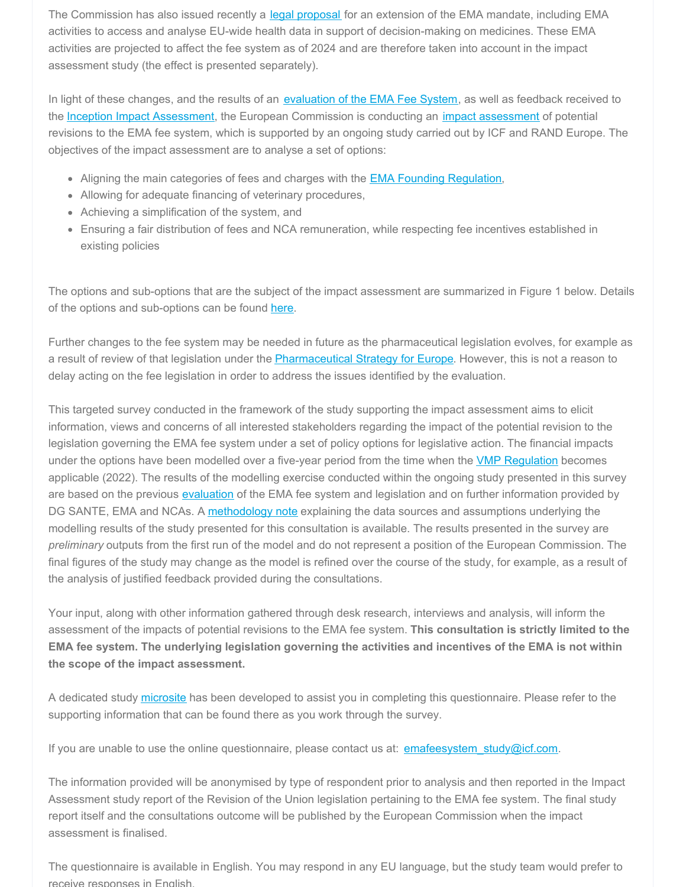The Commission has also issued recently a legal [proposal](https://eur-lex.europa.eu/legal-content/EN/TXT/?uri=CELEX%253A52020PC0725) for an extension of the EMA mandate, including EMA activities to access and analyse EU-wide health data in support of decision-making on medicines. These EMA activities are projected to affect the fee system as of 2024 and are therefore taken into account in the impact assessment study (the effect is presented separately).

In light of these changes, and the results of an [evaluation](https://ec.europa.eu/health/human-use/legal-framework/ema_fees_en) of the EMA Fee System, as well as feedback received to the Inception Impact [Assessment](https://ec.europa.eu/info/law/better-regulation/have-your-say/initiatives/2091-Revision-of-EMA-fees), the European Commission is conducting an *impact [assessment](https://ec.europa.eu/health/human-use/legal-framework/ema_impact-assessment_en)* of potential revisions to the EMA fee system, which is supported by an ongoing study carried out by ICF and RAND Europe. The objectives of the impact assessment are to analyse a set of options:

- Aligning the main categories of fees and charges with the **EMA Founding [Regulation](https://eur-lex.europa.eu/legal-content/EN/TXT/?qid=1622626922820&uri=CELEX%253A02004R0726-20190330)**,
- Allowing for adequate financing of veterinary procedures,
- Achieving a simplification of the system, and
- Ensuring a fair distribution of fees and NCA remuneration, while respecting fee incentives established in existing policies

The options and sub-options that are the subject of the impact assessment are summarized in Figure 1 below. Details of the options and sub-options can be found [here](https://icfconsulting.qualtrics.com/WRQualtricsControlPanel/File.php?F=F_emKJZQsogB49OAK).

Further changes to the fee system may be needed in future as the pharmaceutical legislation evolves, for example as a result of review of that legislation under the [Pharmaceutical](https://eur-lex.europa.eu/legal-content/EN/TXT/?uri=CELEX:52020DC0761) Strategy for Europe. However, this is not a reason to delay acting on the fee legislation in order to address the issues identified by the evaluation.

This targeted survey conducted in the framework of the study supporting the impact assessment aims to elicit information, views and concerns of all interested stakeholders regarding the impact of the potential revision to the legislation governing the EMA fee system under a set of policy options for legislative action. The financial impacts under the options have been modelled over a five-year period from the time when the **VMP [Regulation](https://eur-lex.europa.eu/legal-content/EN/TXT/PDF/?uri=CELEX:32019R0006&from=EN)** becomes applicable (2022). The results of the modelling exercise conducted within the ongoing study presented in this survey are based on the previous [evaluation](https://ec.europa.eu/health/human-use/legal-framework/ema_fees_en) of the EMA fee system and legislation and on further information provided by DG SANTE, EMA and NCAs. A [methodology](https://icfconsulting.qualtrics.com/WRQualtricsControlPanel/File.php?F=F_0xK55l0G2mGhRyu) note explaining the data sources and assumptions underlying the modelling results of the study presented for this consultation is available. The results presented in the survey are *preliminary* outputs from the first run of the model and do not represent a position of the European Commission. The final figures of the study may change as the model is refined over the course of the study, for example, as a result of the analysis of justified feedback provided during the consultations.

Your input, along with other information gathered through desk research, interviews and analysis, will inform the assessment of the impacts of potential revisions to the EMA fee system. **This consultation is strictly limited to the** EMA fee system. The underlying legislation governing the activities and incentives of the EMA is not within **the scope of the impact assessment.**

A dedicated study [microsite](http://icfeurope.com/ema-fees-IA-study/) has been developed to assist you in completing this questionnaire. Please refer to the supporting information that can be found there as you work through the survey.

If you are unable to use the online questionnaire, please contact us at: [emafeesystem\\_study@icf.com](mailto:emafeesystem_study@icf.com).

The information provided will be anonymised by type of respondent prior to analysis and then reported in the Impact Assessment study report of the Revision of the Union legislation pertaining to the EMA fee system. The final study report itself and the consultations outcome will be published by the European Commission when the impact assessment is finalised.

The questionnaire is available in English. You may respond in any EU language, but the study team would prefer to receive responses in English.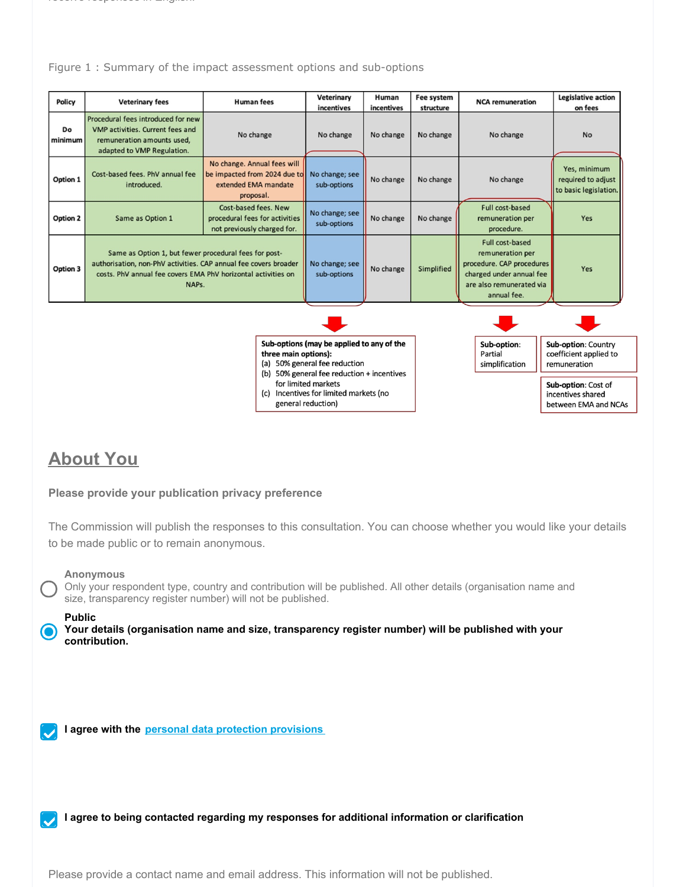#### Figure 1 : Summary of the impact assessment options and sub-options

| Policy        | <b>Veterinary fees</b>                                                                                                                                                                              | <b>Human fees</b>                                                                                                             | Veterinary<br>incentives                                                   | Human<br>incentives | Fee system<br>structure | <b>NCA</b> remuneration                                                                                                                 | <b>Legislative action</b><br>on fees                          |
|---------------|-----------------------------------------------------------------------------------------------------------------------------------------------------------------------------------------------------|-------------------------------------------------------------------------------------------------------------------------------|----------------------------------------------------------------------------|---------------------|-------------------------|-----------------------------------------------------------------------------------------------------------------------------------------|---------------------------------------------------------------|
| Do<br>minimum | Procedural fees introduced for new<br>VMP activities. Current fees and<br>remuneration amounts used,<br>adapted to VMP Regulation.                                                                  | No change                                                                                                                     | No change                                                                  | No change           | No change               | No change                                                                                                                               | <b>No</b>                                                     |
| Option 1      | Cost-based fees. PhV annual fee<br>introduced.                                                                                                                                                      | No change. Annual fees will<br>be impacted from 2024 due to<br>extended EMA mandate<br>proposal.                              | No change; see<br>sub-options                                              | No change           | No change               | No change                                                                                                                               | Yes, minimum<br>required to adjust<br>to basic legislation.   |
| Option 2      | Same as Option 1                                                                                                                                                                                    | Cost-based fees. New<br>procedural fees for activities<br>not previously charged for.                                         | No change; see<br>sub-options                                              | No change           | No change               | Full cost-based<br>remuneration per<br>procedure.                                                                                       | Yes                                                           |
| Option 3      | Same as Option 1, but fewer procedural fees for post-<br>authorisation, non-PhV activities. CAP annual fee covers broader<br>costs. PhV annual fee covers EMA PhV horizontal activities on<br>NAPs. |                                                                                                                               | No change; see<br>sub-options                                              | No change           | Simplified              | Full cost-based<br>remuneration per<br>procedure. CAP procedures<br>charged under annual fee<br>are also remunerated via<br>annual fee. | Yes                                                           |
|               |                                                                                                                                                                                                     |                                                                                                                               |                                                                            |                     |                         |                                                                                                                                         |                                                               |
|               |                                                                                                                                                                                                     | three main options):                                                                                                          | Sub-options (may be applied to any of the<br>(a) 50% general fee reduction |                     |                         | Sub-option:<br>Partial<br>simplification                                                                                                | Sub-option: Country<br>coefficient applied to<br>remuneration |
|               |                                                                                                                                                                                                     | (b) 50% general fee reduction + incentives<br>for limited markets<br>Incentives for limited markets (no<br>general reduction) |                                                                            |                     |                         | Sub-option: Cost of<br>incentives shared<br>between EMA and NCAs                                                                        |                                                               |

# **About You**

#### **Please provide your publication privacy preference**

The Commission will publish the responses to this consultation. You can choose whether you would like your details to be made public or to remain anonymous.

#### **Anonymous**

Only your respondent type, country and contribution will be published. All other details (organisation name and size, transparency register number) will not be published.

#### **Public**

**Your details (organisation name and size, transparency register number) will be published with your contribution.**

**I agree with the personal data protection [provisions](https://icfconsulting.qualtrics.com/WRQualtricsControlPanel/File.php?F=F_0kqYvW43LiiS8qG)**

**I agree to being contacted regarding my responses for additional information or clarification**

Please provide a contact name and email address. This information will not be published.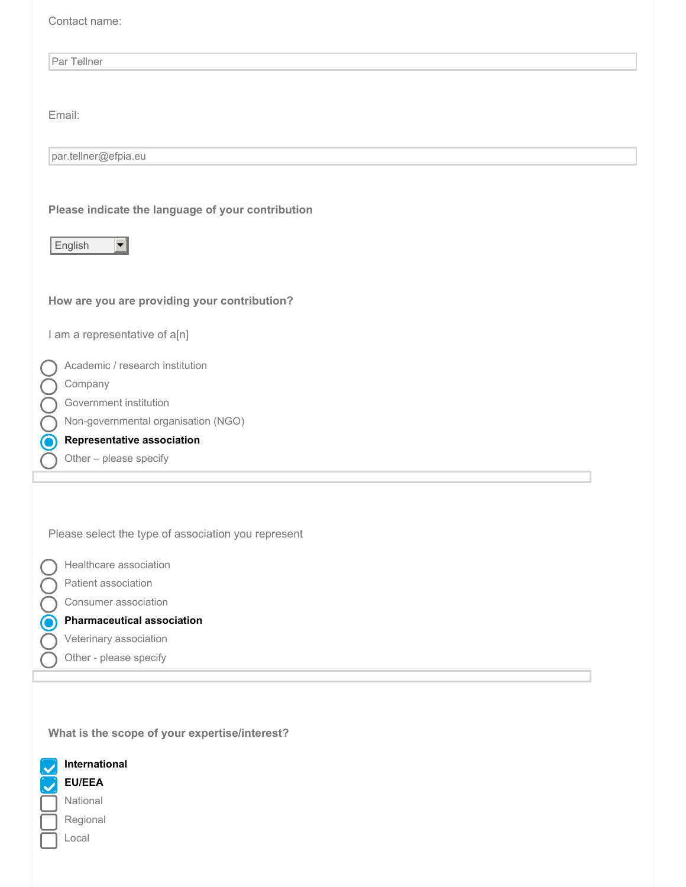| Contact name:                                                              |
|----------------------------------------------------------------------------|
| Par Tellner                                                                |
|                                                                            |
| Email:                                                                     |
| par.tellner@efpia.eu                                                       |
|                                                                            |
| Please indicate the language of your contribution<br>English               |
| How are you are providing your contribution?                               |
| I am a representative of a[n]                                              |
| Academic / research institution<br>Company<br>Government institution       |
| Non-governmental organisation (NGO)                                        |
| <b>Representative association</b><br>$\mathbf O$<br>Other - please specify |
| Please select the type of association you represent                        |
| Healthcare association<br>Patient association<br>Consumer association      |
| $\mathbf 6$<br><b>Pharmaceutical association</b>                           |
| Veterinary association                                                     |
| Other - please specify                                                     |
| What is the scope of your expertise/interest?                              |

**International**  $\overline{\mathcal{U}}$ **EU/EEA** National Regional Local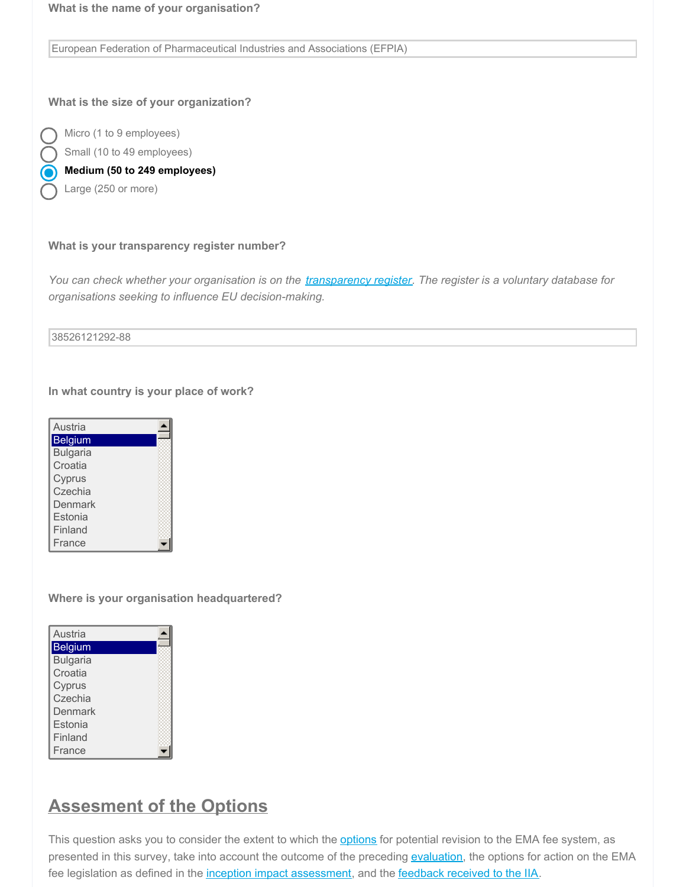European Federation of Pharmaceutical Industries and Associations (EFPIA)

#### **What is the size of your organization?**

Micro (1 to 9 employees) Small (10 to 49 employees)

**Medium (50 to 249 employees)**

Large (250 or more)

#### **What is your transparency register number?**

You can check whether your organisation is on the [transparency](https://ec.europa.eu/transparencyregister/public/homePage.do?redir=false&locale=en) register. The register is a voluntary database for *organisations seeking to influence EU decision-making.*

#### 38526121292-88

**In what country is your place of work?**

| Austria         |  |
|-----------------|--|
| Belgium         |  |
| <b>Bulgaria</b> |  |
| Croatia         |  |
| Cyprus          |  |
| Czechia         |  |
| Denmark         |  |
| Estonia         |  |
| Finland         |  |
| France          |  |

Germany

**Where is your organisation headquartered?**

| Austria         |  |
|-----------------|--|
| Belgium         |  |
| <b>Bulgaria</b> |  |
| Croatia         |  |
| Cyprus          |  |
| Czechia         |  |
| Denmark         |  |
| Estonia         |  |
| Finland         |  |
| France          |  |
|                 |  |

# **Assesment of the Options**

This question asks you to consider the extent to which the [options](https://icfconsulting.qualtrics.com/WRQualtricsControlPanel/File.php?F=F_emKJZQsogB49OAK) for potential revision to the EMA fee system, as presented in this survey, take into account the outcome of the preceding [evaluation](https://ec.europa.eu/health/sites/health/files/files/fees/evaluation_ema_fee_swd2019336_annex_en.pdf), the options for action on the EMA fee legislation as defined in the inception impact [assessment](https://ec.europa.eu/info/law/better-regulation/have-your-say/initiatives/2091-Revision-of-EMA-fees), and the [feedback](https://ec.europa.eu/info/law/better-regulation/have-your-say/initiatives/2091-Revision-of-EMA-fees) received to the IIA.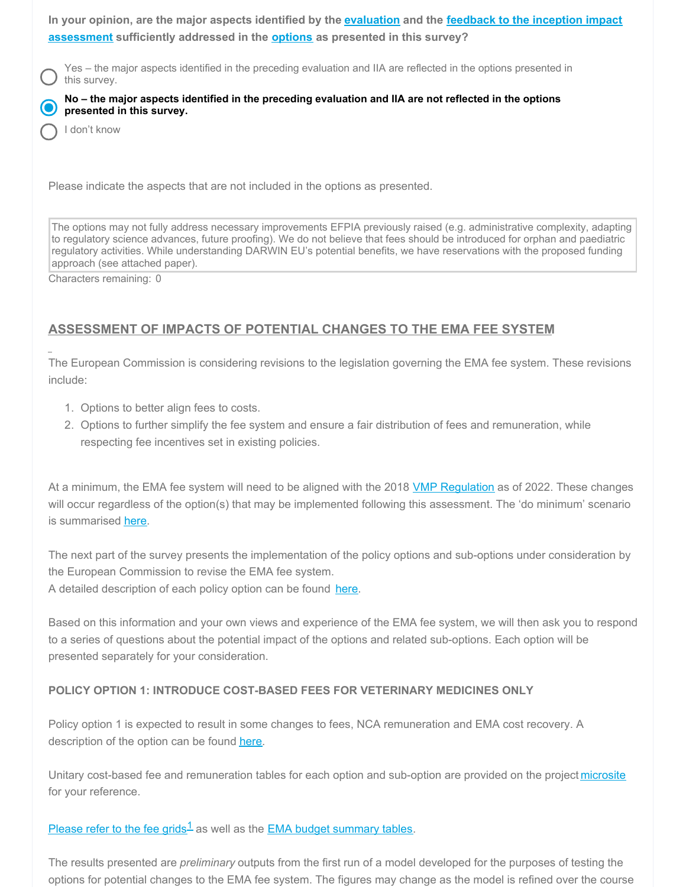In your opinion, are the major aspects identified by the [evaluation](https://ec.europa.eu/health/sites/health/files/files/fees/evaluation_ema_fee_swd2019336_annex_en.pdf) and the feedback to the inception impact **[assessment](https://ec.europa.eu/info/law/better-regulation/have-your-say/initiatives/2091-Revision-of-EMA-fees) sufficiently addressed in the [options](https://icfconsulting.qualtrics.com/WRQualtricsControlPanel/File.php?F=F_emKJZQsogB49OAK) as presented in this survey?**

Yes – the major aspects identified in the preceding evaluation and IIA are reflected in the options presented in this survey.

No - the major aspects identified in the preceding evaluation and IIA are not reflected in the options **presented in this survey.**

I don't know

Please indicate the aspects that are not included in the options as presented.

The options may not fully address necessary improvements EFPIA previously raised (e.g. administrative complexity, adapting to regulatory science advances, future proofing). We do not believe that fees should be introduced for orphan and paediatric regulatory activities. While understanding DARWIN EU's potential benefits, we have reservations with the proposed funding approach (see attached paper).

Characters remaining: 0

# **ASSESSMENT OF IMPACTS OF POTENTIAL CHANGES TO THE EMA FEE SYSTEM**

The European Commission is considering revisions to the legislation governing the EMA fee system. These revisions include:

- 1. Options to better align fees to costs.
- 2. Options to further simplify the fee system and ensure a fair distribution of fees and remuneration, while respecting fee incentives set in existing policies.

At a minimum, the EMA fee system will need to be aligned with the 2018 VMP [Regulation](https://eur-lex.europa.eu/legal-content/EN/TXT/PDF/?uri=CELEX:32019R0006&from=EN) as of 2022. These changes will occur regardless of the option(s) that may be implemented following this assessment. The 'do minimum' scenario is summarised [here](https://icfconsulting.qualtrics.com/WRQualtricsControlPanel/File.php?F=F_emKJZQsogB49OAK).

The next part of the survey presents the implementation of the policy options and sub-options under consideration by the European Commission to revise the EMA fee system.

A detailed description of each policy option can be found [here](https://icfconsulting.qualtrics.com/WRQualtricsControlPanel/File.php?F=F_emKJZQsogB49OAK).

Based on this information and your own views and experience of the EMA fee system, we will then ask you to respond to a series of questions about the potential impact of the options and related sub-options. Each option will be presented separately for your consideration.

#### **POLICY OPTION 1: INTRODUCE COST-BASED FEES FOR VETERINARY MEDICINES ONLY**

Policy option 1 is expected to result in some changes to fees, NCA remuneration and EMA cost recovery. A description of the option can be found [here](https://icfconsulting.qualtrics.com/WRQualtricsControlPanel/File.php?F=F_emKJZQsogB49OAK).

Unitary cost-based fee and remuneration tables for each option and sub-option are provided on the project [microsite](http://icfeurope.com/ema-fees-IA-study/) for your reference.

## [Please](https://icfconsulting.qualtrics.com/WRQualtricsControlPanel/File.php?F=F_80nxTSpHdYFVAii) refer to the fee grids<sup>1</sup> as well as the EMA budget [summary](https://icfconsulting.qualtrics.com/WRQualtricsControlPanel/File.php?F=F_9vINfcwYOGRFlXw) tables.

The results presented are *preliminary* outputs from the first run of a model developed for the purposes of testing the options for potential changes to the EMA fee system. The figures may change as the model is refined over the course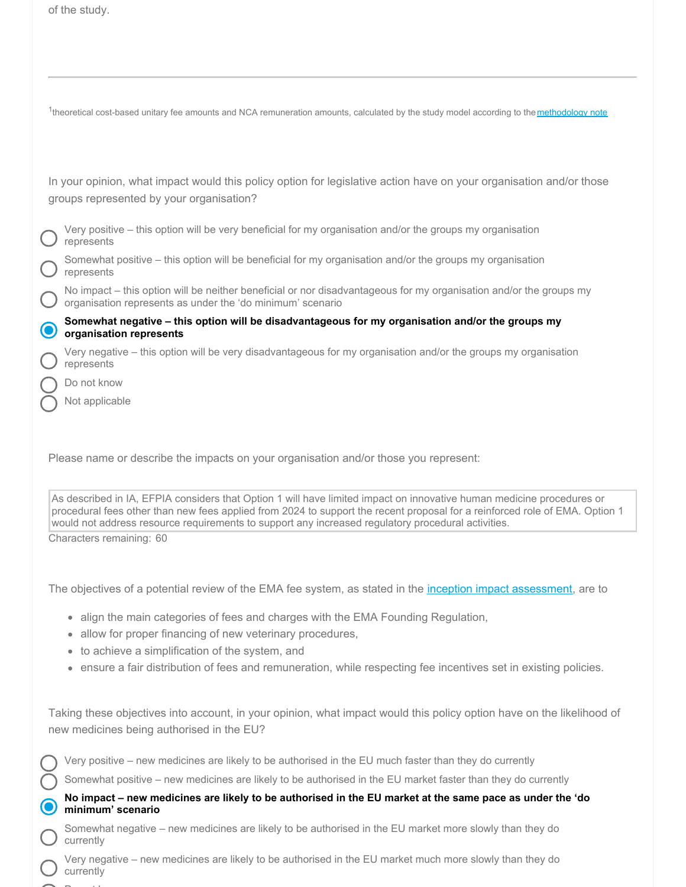|                       | of the study.                                                                                                                                                                                                                                                                                                                                                                          |
|-----------------------|----------------------------------------------------------------------------------------------------------------------------------------------------------------------------------------------------------------------------------------------------------------------------------------------------------------------------------------------------------------------------------------|
|                       |                                                                                                                                                                                                                                                                                                                                                                                        |
|                       | <sup>1</sup> theoretical cost-based unitary fee amounts and NCA remuneration amounts, calculated by the study model according to the methodology note                                                                                                                                                                                                                                  |
|                       | In your opinion, what impact would this policy option for legislative action have on your organisation and/or those<br>groups represented by your organisation?                                                                                                                                                                                                                        |
|                       | Very positive - this option will be very beneficial for my organisation and/or the groups my organisation<br>represents                                                                                                                                                                                                                                                                |
|                       | Somewhat positive - this option will be beneficial for my organisation and/or the groups my organisation<br>represents                                                                                                                                                                                                                                                                 |
| $\bigcap$             | No impact – this option will be neither beneficial or nor disadvantageous for my organisation and/or the groups my<br>organisation represents as under the 'do minimum' scenario                                                                                                                                                                                                       |
| $\boldsymbol{\Theta}$ | Somewhat negative - this option will be disadvantageous for my organisation and/or the groups my<br>organisation represents                                                                                                                                                                                                                                                            |
|                       | Very negative - this option will be very disadvantageous for my organisation and/or the groups my organisation<br>represents                                                                                                                                                                                                                                                           |
|                       | Do not know                                                                                                                                                                                                                                                                                                                                                                            |
|                       | Not applicable                                                                                                                                                                                                                                                                                                                                                                         |
|                       | As described in IA, EFPIA considers that Option 1 will have limited impact on innovative human medicine procedures or<br>procedural fees other than new fees applied from 2024 to support the recent proposal for a reinforced role of EMA. Option 1<br>would not address resource requirements to support any increased regulatory procedural activities.<br>Characters remaining: 60 |
|                       |                                                                                                                                                                                                                                                                                                                                                                                        |
|                       | The objectives of a potential review of the EMA fee system, as stated in the inception impact assessment, are to                                                                                                                                                                                                                                                                       |
|                       | align the main categories of fees and charges with the EMA Founding Regulation,<br>$\qquad \qquad \bullet$                                                                                                                                                                                                                                                                             |
|                       | allow for proper financing of new veterinary procedures,<br>۰                                                                                                                                                                                                                                                                                                                          |
|                       | to achieve a simplification of the system, and<br>۰<br>ensure a fair distribution of fees and remuneration, while respecting fee incentives set in existing policies.<br>۰                                                                                                                                                                                                             |
|                       | Taking these objectives into account, in your opinion, what impact would this policy option have on the likelihood of<br>new medicines being authorised in the EU?                                                                                                                                                                                                                     |
|                       | Very positive - new medicines are likely to be authorised in the EU much faster than they do currently                                                                                                                                                                                                                                                                                 |
| $(\ )$                | Somewhat positive - new medicines are likely to be authorised in the EU market faster than they do currently                                                                                                                                                                                                                                                                           |
| $\mathbf{\Theta}$     | No impact – new medicines are likely to be authorised in the EU market at the same pace as under the 'do<br>minimum' scenario                                                                                                                                                                                                                                                          |
|                       | Somewhat negative – new medicines are likely to be authorised in the EU market more slowly than they do<br>currently                                                                                                                                                                                                                                                                   |
|                       | Very negative – new medicines are likely to be authorised in the EU market much more slowly than they do<br>currently                                                                                                                                                                                                                                                                  |

Do not know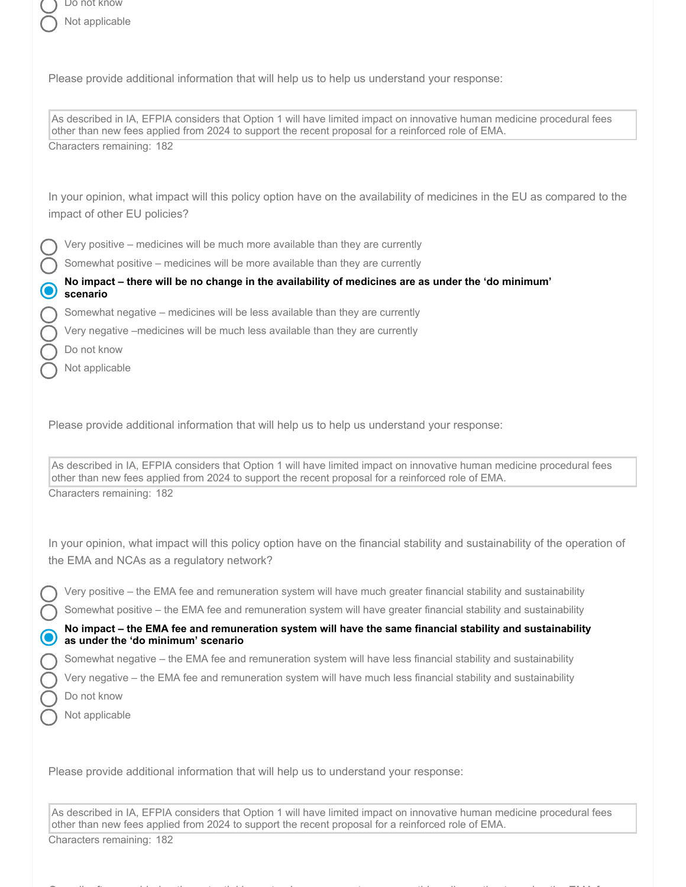Please provide additional information that will help us to help us understand your response:

As described in IA, EFPIA considers that Option 1 will have limited impact on innovative human medicine procedural fees other than new fees applied from 2024 to support the recent proposal for a reinforced role of EMA. Characters remaining: 182

In your opinion, what impact will this policy option have on the availability of medicines in the EU as compared to the impact of other EU policies?

Very positive – medicines will be much more available than they are currently

Somewhat positive – medicines will be more available than they are currently

No impact - there will be no change in the availability of medicines are as under the 'do minimum' **scenario**

Somewhat negative – medicines will be less available than they are currently

Very negative –medicines will be much less available than they are currently

- Do not know
- Not applicable

Please provide additional information that will help us to help us understand your response:

As described in IA, EFPIA considers that Option 1 will have limited impact on innovative human medicine procedural fees other than new fees applied from 2024 to support the recent proposal for a reinforced role of EMA. Characters remaining: 182

In your opinion, what impact will this policy option have on the financial stability and sustainability of the operation of the EMA and NCAs as a regulatory network?

Very positive – the EMA fee and remuneration system will have much greater financial stability and sustainability

Somewhat positive – the EMA fee and remuneration system will have greater financial stability and sustainability

**No impact – the EMA fee and remuneration system will have the same financial stability and sustainability as under the 'do minimum' scenario**

Somewhat negative – the EMA fee and remuneration system will have less financial stability and sustainability

Very negative – the EMA fee and remuneration system will have much less financial stability and sustainability

- Do not know
- Not applicable

Please provide additional information that will help us to understand your response:

As described in IA, EFPIA considers that Option 1 will have limited impact on innovative human medicine procedural fees other than new fees applied from 2024 to support the recent proposal for a reinforced role of EMA.

Overall, after considering the potential impacts, do you support or oppose this policy option to revise the EMA fee

Characters remaining: 182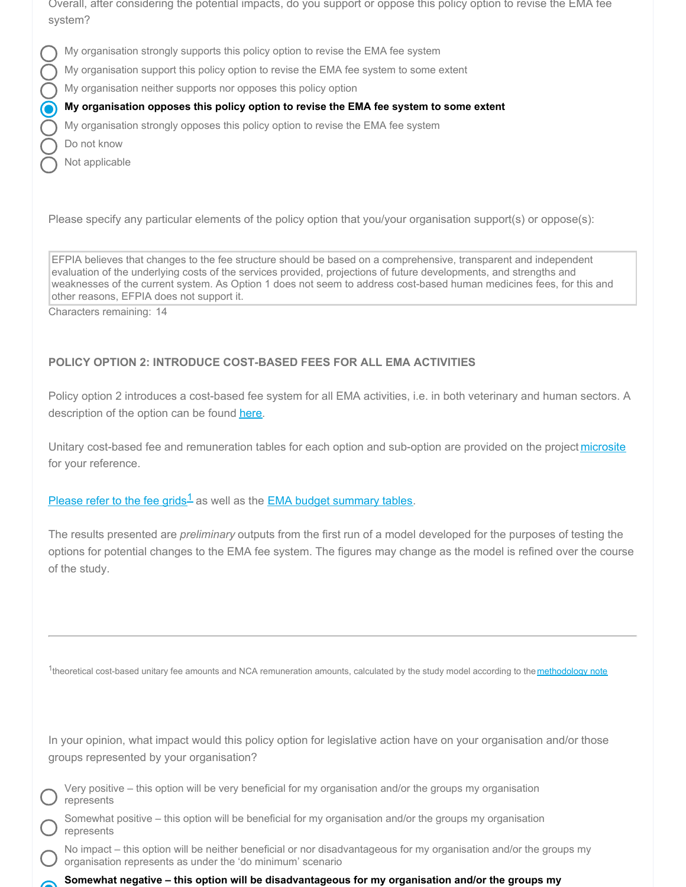Overall, after considering the potential impacts, do you support or oppose this policy option to revise the EMA fee system?

- My organisation strongly supports this policy option to revise the EMA fee system
- My organisation support this policy option to revise the EMA fee system to some extent
- My organisation neither supports nor opposes this policy option

#### O **My organisation opposes this policy option to revise the EMA fee system to some extent**

My organisation strongly opposes this policy option to revise the EMA fee system

- Do not know
- Not applicable

Please specify any particular elements of the policy option that you/your organisation support(s) or oppose(s):

EFPIA believes that changes to the fee structure should be based on a comprehensive, transparent and independent evaluation of the underlying costs of the services provided, projections of future developments, and strengths and weaknesses of the current system. As Option 1 does not seem to address cost-based human medicines fees, for this and other reasons, EFPIA does not support it.

Characters remaining: 14

# **POLICY OPTION 2: INTRODUCE COST-BASED FEES FOR ALL EMA ACTIVITIES**

Policy option 2 introduces a cost-based fee system for all EMA activities, i.e. in both veterinary and human sectors. A description of the option can be found [here](https://icfconsulting.qualtrics.com/WRQualtricsControlPanel/File.php?F=F_emKJZQsogB49OAK).

Unitary cost-based fee and remuneration tables for each option and sub-option are provided on the project [microsite](http://icfeurope.com/ema-fees-IA-study/) for your reference.

[Please](https://icfconsulting.qualtrics.com/WRQualtricsControlPanel/File.php?F=F_80nxTSpHdYFVAii) refer to the fee grids<sup>1</sup> as well as the EMA budget [summary](https://icfconsulting.qualtrics.com/WRQualtricsControlPanel/File.php?F=F_9vINfcwYOGRFlXw) tables.

The results presented are *preliminary* outputs from the first run of a model developed for the purposes of testing the options for potential changes to the EMA fee system. The figures may change as the model is refined over the course of the study.

<sup>1</sup>theoretical cost-based unitary fee amounts and NCA remuneration amounts, calculated by the study model according to the [methodology](https://icfconsulting.qualtrics.com/WRQualtricsControlPanel/File.php?F=F_0xK55l0G2mGhRyu) note

| In your opinion, what impact would this policy option for legislative action have on your organisation and/or those |  |  |  |  |  |
|---------------------------------------------------------------------------------------------------------------------|--|--|--|--|--|
| groups represented by your organisation?                                                                            |  |  |  |  |  |

| Very positive – this option will be very beneficial for my organisation and/or the groups my organisation |  |  |  |  |  |
|-----------------------------------------------------------------------------------------------------------|--|--|--|--|--|
| $\boldsymbol{J}$ represents                                                                               |  |  |  |  |  |

Somewhat positive – this option will be beneficial for my organisation and/or the groups my organisation represents

No impact – this option will be neither beneficial or nor disadvantageous for my organisation and/or the groups my organisation represents as under the 'do minimum' scenario

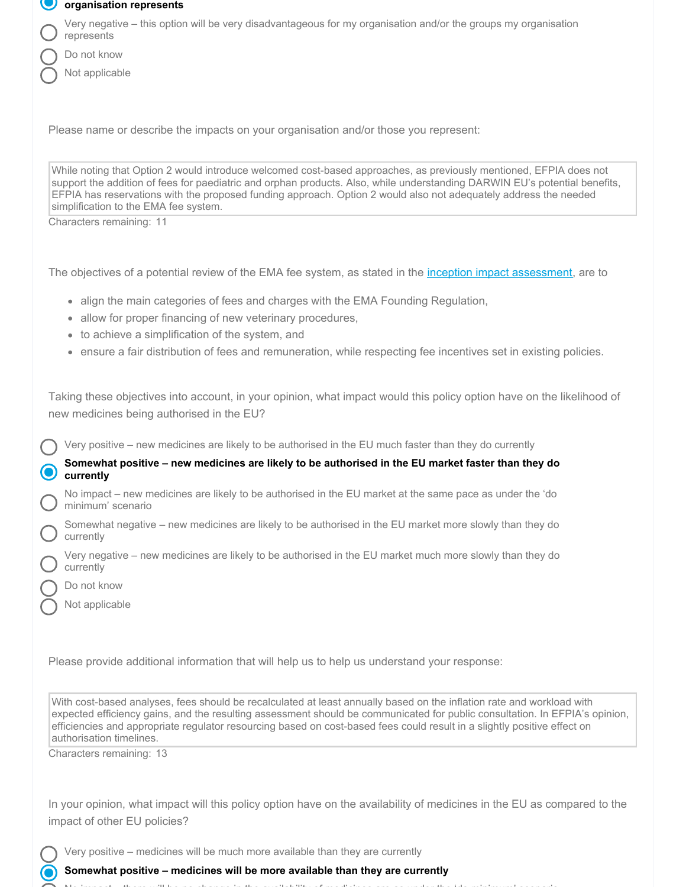| organisation represents |  |
|-------------------------|--|
|-------------------------|--|

Very negative – this option will be very disadvantageous for my organisation and/or the groups my organisation represents

- Do not know
- Not applicable

Please name or describe the impacts on your organisation and/or those you represent:

While noting that Option 2 would introduce welcomed cost-based approaches, as previously mentioned, EFPIA does not support the addition of fees for paediatric and orphan products. Also, while understanding DARWIN EU's potential benefits, EFPIA has reservations with the proposed funding approach. Option 2 would also not adequately address the needed simplification to the EMA fee system.

Characters remaining: 11

The objectives of a potential review of the EMA fee system, as stated in the inception impact [assessment](https://ec.europa.eu/info/law/better-regulation/have-your-say/initiatives/2091-Revision-of-EMA-fees), are to

- align the main categories of fees and charges with the EMA Founding Regulation,
- allow for proper financing of new veterinary procedures,
- to achieve a simplification of the system, and
- ensure a fair distribution of fees and remuneration, while respecting fee incentives set in existing policies.

Taking these objectives into account, in your opinion, what impact would this policy option have on the likelihood of new medicines being authorised in the EU?

Very positive – new medicines are likely to be authorised in the EU much faster than they do currently

## **Somewhat positive – new medicines are likely to be authorised in the EU market faster than they do C** currently

No impact – new medicines are likely to be authorised in the EU market at the same pace as under the 'do minimum' scenario

Somewhat negative – new medicines are likely to be authorised in the EU market more slowly than they do currently

Very negative – new medicines are likely to be authorised in the EU market much more slowly than they do currently

- Do not know
- Not applicable

Please provide additional information that will help us to help us understand your response:

With cost-based analyses, fees should be recalculated at least annually based on the inflation rate and workload with expected efficiency gains, and the resulting assessment should be communicated for public consultation. In EFPIA's opinion, efficiencies and appropriate regulator resourcing based on cost-based fees could result in a slightly positive effect on authorisation timelines.

Characters remaining: 13

In your opinion, what impact will this policy option have on the availability of medicines in the EU as compared to the impact of other EU policies?

Very positive – medicines will be much more available than they are currently

**Somewhat positive – medicines will be more available than they are currently**

No impact – there will be no change in the availability of medicines are as under the 'do minimum' scenario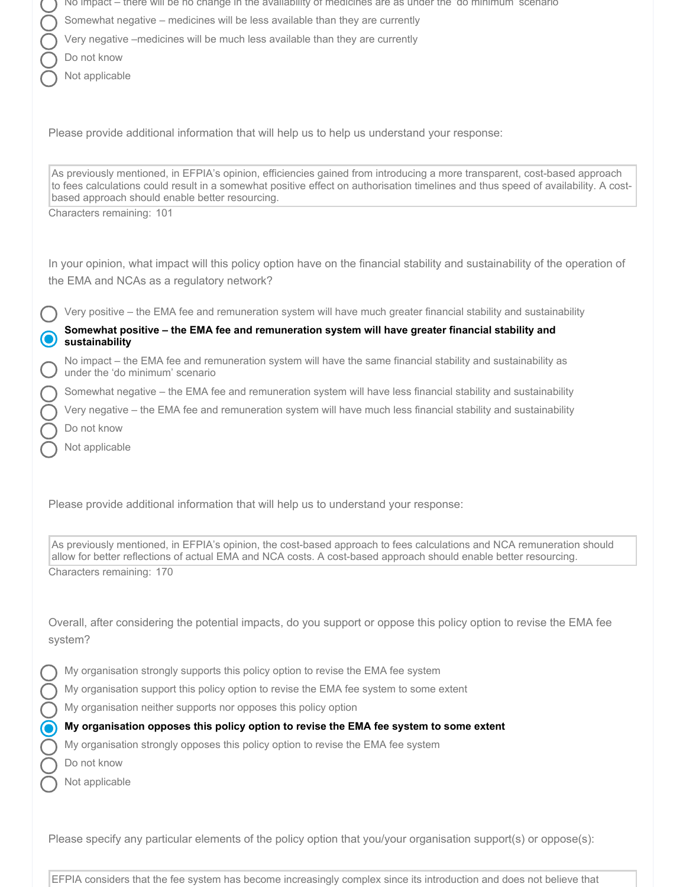|           | No impact – there will be no change in the availability of medicines are as under the 'do minimum' scenario                                                                                                                                                                                                                                     |
|-----------|-------------------------------------------------------------------------------------------------------------------------------------------------------------------------------------------------------------------------------------------------------------------------------------------------------------------------------------------------|
|           | Somewhat negative - medicines will be less available than they are currently                                                                                                                                                                                                                                                                    |
|           | Very negative -medicines will be much less available than they are currently                                                                                                                                                                                                                                                                    |
|           | Do not know                                                                                                                                                                                                                                                                                                                                     |
|           | Not applicable                                                                                                                                                                                                                                                                                                                                  |
|           | Please provide additional information that will help us to help us understand your response:                                                                                                                                                                                                                                                    |
|           | As previously mentioned, in EFPIA's opinion, efficiencies gained from introducing a more transparent, cost-based approach<br>to fees calculations could result in a somewhat positive effect on authorisation timelines and thus speed of availability. A cost-<br>based approach should enable better resourcing.<br>Characters remaining: 101 |
|           | In your opinion, what impact will this policy option have on the financial stability and sustainability of the operation of<br>the EMA and NCAs as a regulatory network?                                                                                                                                                                        |
|           | Very positive - the EMA fee and remuneration system will have much greater financial stability and sustainability                                                                                                                                                                                                                               |
|           | Somewhat positive - the EMA fee and remuneration system will have greater financial stability and                                                                                                                                                                                                                                               |
|           | sustainability<br>No impact – the EMA fee and remuneration system will have the same financial stability and sustainability as                                                                                                                                                                                                                  |
|           | under the 'do minimum' scenario                                                                                                                                                                                                                                                                                                                 |
|           | Somewhat negative - the EMA fee and remuneration system will have less financial stability and sustainability                                                                                                                                                                                                                                   |
|           | Very negative - the EMA fee and remuneration system will have much less financial stability and sustainability                                                                                                                                                                                                                                  |
|           | Do not know                                                                                                                                                                                                                                                                                                                                     |
|           | Not applicable                                                                                                                                                                                                                                                                                                                                  |
|           |                                                                                                                                                                                                                                                                                                                                                 |
|           | Please provide additional information that will help us to understand your response:                                                                                                                                                                                                                                                            |
|           | As previously mentioned, in EFPIA's opinion, the cost-based approach to fees calculations and NCA remuneration should<br>allow for better reflections of actual EMA and NCA costs. A cost-based approach should enable better resourcing.                                                                                                       |
|           | Characters remaining: 170                                                                                                                                                                                                                                                                                                                       |
|           | Overall, after considering the potential impacts, do you support or oppose this policy option to revise the EMA fee<br>system?                                                                                                                                                                                                                  |
|           | My organisation strongly supports this policy option to revise the EMA fee system                                                                                                                                                                                                                                                               |
|           | My organisation support this policy option to revise the EMA fee system to some extent                                                                                                                                                                                                                                                          |
|           | My organisation neither supports nor opposes this policy option                                                                                                                                                                                                                                                                                 |
| $\bullet$ | My organisation opposes this policy option to revise the EMA fee system to some extent                                                                                                                                                                                                                                                          |
|           | My organisation strongly opposes this policy option to revise the EMA fee system                                                                                                                                                                                                                                                                |
|           | Do not know                                                                                                                                                                                                                                                                                                                                     |
|           | Not applicable                                                                                                                                                                                                                                                                                                                                  |
|           |                                                                                                                                                                                                                                                                                                                                                 |
|           |                                                                                                                                                                                                                                                                                                                                                 |
|           |                                                                                                                                                                                                                                                                                                                                                 |

EFPIA considers that the fee system has become increasingly complex since its introduction and does not believe that

Please specify any particular elements of the policy option that you/your organisation support(s) or oppose(s):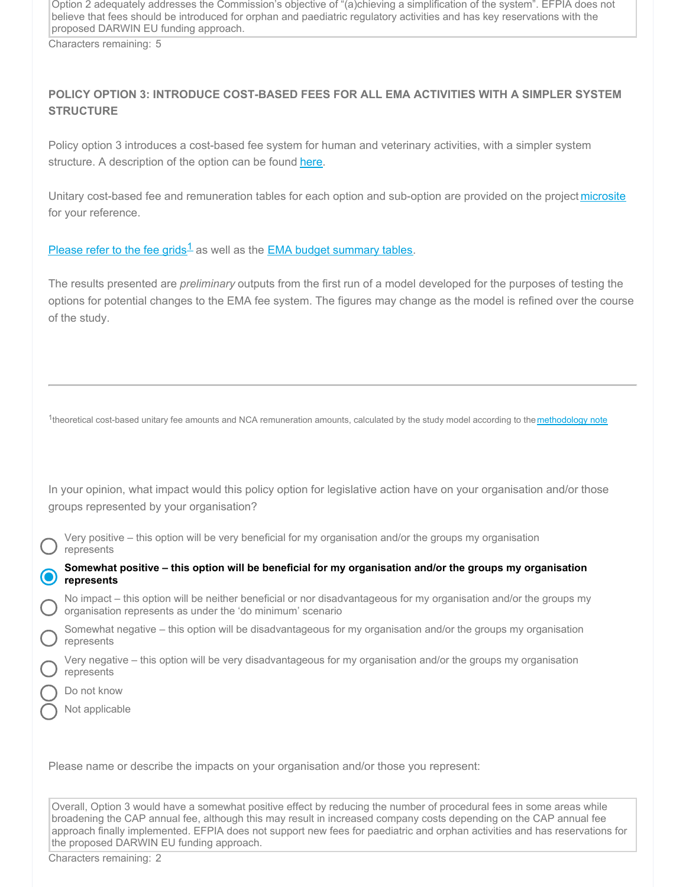Option 2 adequately addresses the Commission's objective of "(a)chieving a simplification of the system". EFPIA does not believe that fees should be introduced for orphan and paediatric regulatory activities and has key reservations with the proposed DARWIN EU funding approach.

Characters remaining: 5

# **POLICY OPTION 3: INTRODUCE COST-BASED FEES FOR ALL EMA ACTIVITIES WITH A SIMPLER SYSTEM STRUCTURE**

Policy option 3 introduces a cost-based fee system for human and veterinary activities, with a simpler system structure. A description of the option can be found [here](https://icfconsulting.qualtrics.com/WRQualtricsControlPanel/File.php?F=F_emKJZQsogB49OAK).

Unitary cost-based fee and remuneration tables for each option and sub-option are provided on the project [microsite](http://icfeurope.com/ema-fees-IA-study/) for your reference.

[Please](https://icfconsulting.qualtrics.com/WRQualtricsControlPanel/File.php?F=F_80nxTSpHdYFVAii) refer to the fee grids<sup>1</sup> as well as the **EMA** budget [summary](https://icfconsulting.qualtrics.com/WRQualtricsControlPanel/File.php?F=F_9vINfcwYOGRFlXw) tables.

The results presented are *preliminary* outputs from the first run of a model developed for the purposes of testing the options for potential changes to the EMA fee system. The figures may change as the model is refined over the course of the study.

<sup>1</sup>theoretical cost-based unitary fee amounts and NCA remuneration amounts, calculated by the study model according to the [methodology](https://icfconsulting.qualtrics.com/WRQualtricsControlPanel/File.php?F=F_0xK55l0G2mGhRyu) note

In your opinion, what impact would this policy option for legislative action have on your organisation and/or those groups represented by your organisation?

Very positive – this option will be very beneficial for my organisation and/or the groups my organisation represents

**Somewhat positive – this option will be beneficial for my organisation and/or the groups my organisation represents**

No impact – this option will be neither beneficial or nor disadvantageous for my organisation and/or the groups my organisation represents as under the 'do minimum' scenario

Somewhat negative – this option will be disadvantageous for my organisation and/or the groups my organisation represents

Very negative – this option will be very disadvantageous for my organisation and/or the groups my organisation represents

Do not know

Not applicable

Please name or describe the impacts on your organisation and/or those you represent:

Overall, Option 3 would have a somewhat positive effect by reducing the number of procedural fees in some areas while broadening the CAP annual fee, although this may result in increased company costs depending on the CAP annual fee approach finally implemented. EFPIA does not support new fees for paediatric and orphan activities and has reservations for the proposed DARWIN EU funding approach.

Characters remaining: 2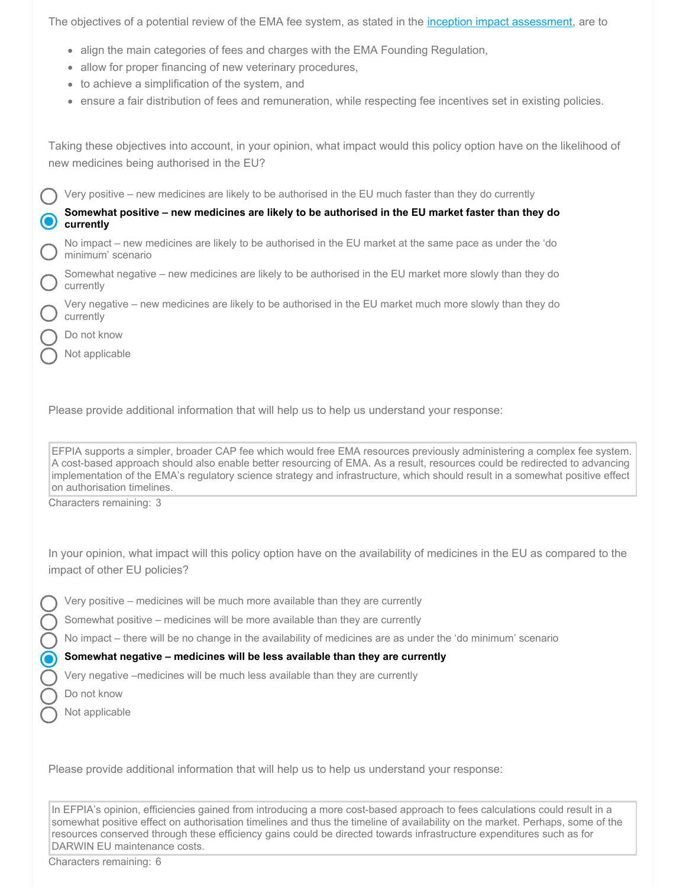The objectives of a potential review of the EMA fee system, as stated in the *inception impact [assessment](https://ec.europa.eu/info/law/better-regulation/have-your-say/initiatives/2091-Revision-of-EMA-fees)*, are to

- align the main categories of fees and charges with the EMA Founding Regulation,
- allow for proper financing of new veterinary procedures,
- to achieve a simplification of the system, and
- ensure a fair distribution of fees and remuneration, while respecting fee incentives set in existing policies.

Taking these objectives into account, in your opinion, what impact would this policy option have on the likelihood of new medicines being authorised in the EU?

Very positive – new medicines are likely to be authorised in the EU much faster than they do currently

**Somewhat positive – new medicines are likely to be authorised in the EU market faster than they do currently**

No impact – new medicines are likely to be authorised in the EU market at the same pace as under the 'do minimum' scenario

Somewhat negative – new medicines are likely to be authorised in the EU market more slowly than they do currently

Very negative – new medicines are likely to be authorised in the EU market much more slowly than they do currently

Do not know

Not applicable

Please provide additional information that will help us to help us understand your response:

EFPIA supports a simpler, broader CAP fee which would free EMA resources previously administering a complex fee system. A cost-based approach should also enable better resourcing of EMA. As a result, resources could be redirected to advancing implementation of the EMA's regulatory science strategy and infrastructure, which should result in a somewhat positive effect on authorisation timelines.

Characters remaining: 3

In your opinion, what impact will this policy option have on the availability of medicines in the EU as compared to the impact of other EU policies?

- Very positive medicines will be much more available than they are currently
- Somewhat positive medicines will be more available than they are currently

No impact – there will be no change in the availability of medicines are as under the 'do minimum' scenario

#### **Somewhat negative – medicines will be less available than they are currently**

Very negative –medicines will be much less available than they are currently

Do not know

Not applicable

Please provide additional information that will help us to help us understand your response:

In EFPIA's opinion, efficiencies gained from introducing a more cost-based approach to fees calculations could result in a somewhat positive effect on authorisation timelines and thus the timeline of availability on the market. Perhaps, some of the resources conserved through these efficiency gains could be directed towards infrastructure expenditures such as for DARWIN EU maintenance costs.

Characters remaining: 6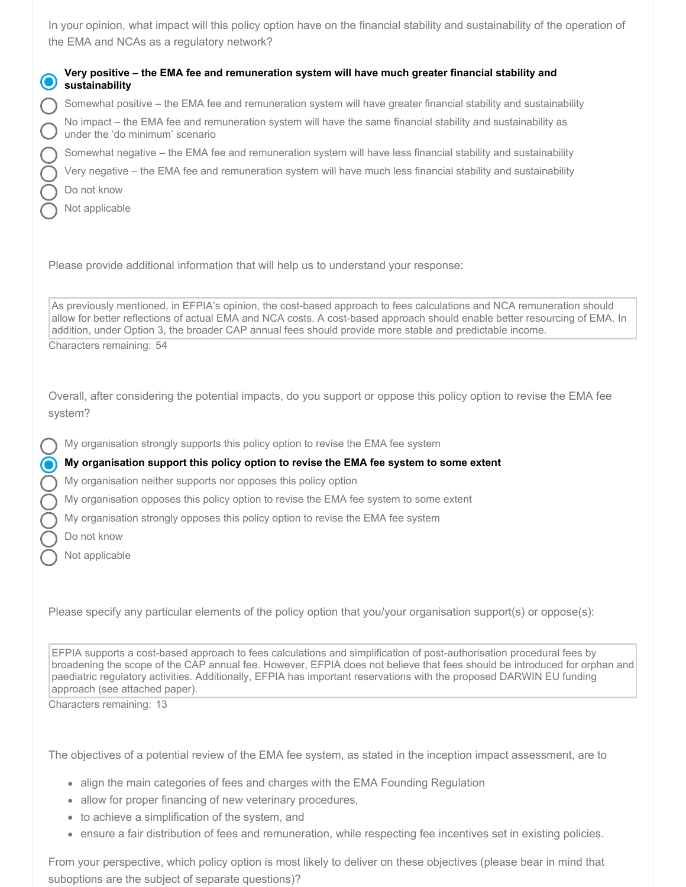In your opinion, what impact will this policy option have on the financial stability and sustainability of the operation of the EMA and NCAs as a regulatory network?

| Very positive – the EMA fee and remuneration system will have much greater financial stability and sustainability |
|-------------------------------------------------------------------------------------------------------------------|
| Somewhat positive – the EMA fee and remuneration system will have greater financial stability and sustainability  |

No impact – the EMA fee and remuneration system will have the same financial stability and sustainability as under the 'do minimum' scenario

Somewhat negative – the EMA fee and remuneration system will have less financial stability and sustainability

Very negative – the EMA fee and remuneration system will have much less financial stability and sustainability

Do not know

Not applicable

Please provide additional information that will help us to understand your response:

As previously mentioned, in EFPIA's opinion, the cost-based approach to fees calculations and NCA remuneration should allow for better reflections of actual EMA and NCA costs. A cost-based approach should enable better resourcing of EMA. In addition, under Option 3, the broader CAP annual fees should provide more stable and predictable income.

Characters remaining: 54

Overall, after considering the potential impacts, do you support or oppose this policy option to revise the EMA fee system?

My organisation strongly supports this policy option to revise the EMA fee system

#### **My organisation support this policy option to revise the EMA fee system to some extent**

My organisation neither supports nor opposes this policy option

My organisation opposes this policy option to revise the EMA fee system to some extent

My organisation strongly opposes this policy option to revise the EMA fee system

Do not know

Not applicable

Please specify any particular elements of the policy option that you/your organisation support(s) or oppose(s):

EFPIA supports a cost-based approach to fees calculations and simplification of post-authorisation procedural fees by broadening the scope of the CAP annual fee. However, EFPIA does not believe that fees should be introduced for orphan and paediatric regulatory activities. Additionally, EFPIA has important reservations with the proposed DARWIN EU funding approach (see attached paper).

Characters remaining: 13

The objectives of a potential review of the EMA fee system, as stated in the inception impact assessment, are to

- align the main categories of fees and charges with the EMA Founding Regulation
- allow for proper financing of new veterinary procedures,
- to achieve a simplification of the system, and
- ensure a fair distribution of fees and remuneration, while respecting fee incentives set in existing policies.

From your perspective, which policy option is most likely to deliver on these objectives (please bear in mind that suboptions are the subject of separate questions)?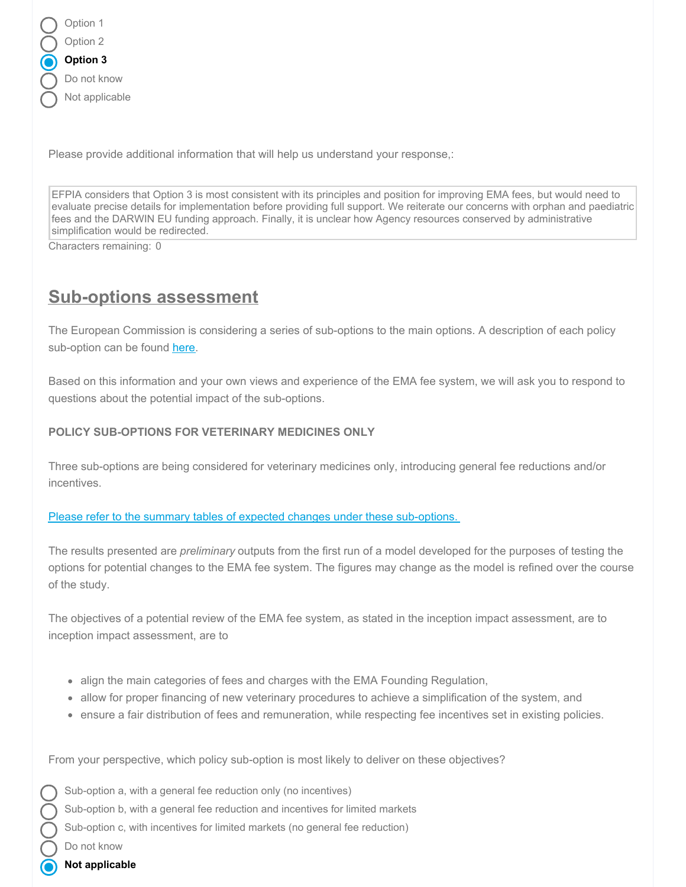| Option 1       |
|----------------|
| Option 2       |
| Option 3       |
| Do not know    |
| Not applicable |
|                |

Please provide additional information that will help us understand your response,:

EFPIA considers that Option 3 is most consistent with its principles and position for improving EMA fees, but would need to evaluate precise details for implementation before providing full support. We reiterate our concerns with orphan and paediatric fees and the DARWIN EU funding approach. Finally, it is unclear how Agency resources conserved by administrative simplification would be redirected.

Characters remaining: 0

# **Sub-options assessment**

The European Commission is considering a series of sub-options to the main options. A description of each policy sub-option can be found [here](https://icfconsulting.qualtrics.com/WRQualtricsControlPanel/File.php?F=F_emKJZQsogB49OAK).

Based on this information and your own views and experience of the EMA fee system, we will ask you to respond to questions about the potential impact of the sub-options.

## **POLICY SUB-OPTIONS FOR VETERINARY MEDICINES ONLY**

Three sub-options are being considered for veterinary medicines only, introducing general fee reductions and/or incentives.

#### Please refer to the summary tables of expected changes under these [sub-options.](https://icfconsulting.qualtrics.com/WRQualtricsControlPanel/File.php?F=F_cUDpIzcdjHLWw6i)

The results presented are *preliminary* outputs from the first run of a model developed for the purposes of testing the options for potential changes to the EMA fee system. The figures may change as the model is refined over the course of the study.

The objectives of a potential review of the EMA fee system, as stated in the inception impact assessment, are to inception impact assessment, are to

- align the main categories of fees and charges with the EMA Founding Regulation,
- allow for proper financing of new veterinary procedures to achieve a simplification of the system, and
- ensure a fair distribution of fees and remuneration, while respecting fee incentives set in existing policies.

From your perspective, which policy sub-option is most likely to deliver on these objectives?

Sub-option a, with a general fee reduction only (no incentives) Sub-option b, with a general fee reduction and incentives for limited markets Sub-option c, with incentives for limited markets (no general fee reduction) Do not know

**Not applicable**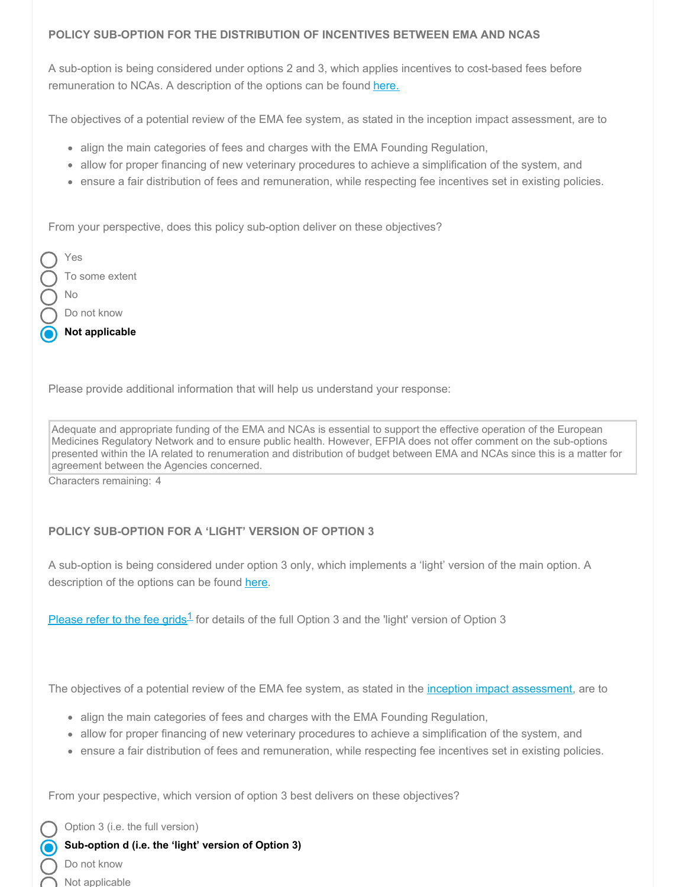## **POLICY SUB-OPTION FOR THE DISTRIBUTION OF INCENTIVES BETWEEN EMA AND NCAS**

A sub-option is being considered under options 2 and 3, which applies incentives to cost-based fees before remuneration to NCAs. A description of the options can be found [here.](https://icfconsulting.qualtrics.com/WRQualtricsControlPanel/File.php?F=F_emKJZQsogB49OAK)

The objectives of a potential review of the EMA fee system, as stated in the inception impact assessment, are to

- align the main categories of fees and charges with the EMA Founding Regulation,
- allow for proper financing of new veterinary procedures to achieve a simplification of the system, and
- ensure a fair distribution of fees and remuneration, while respecting fee incentives set in existing policies.

From your perspective, does this policy sub-option deliver on these objectives?

| Not applicable |
|----------------|
| Do not know    |
| Nο             |
| To some extent |
| Yes            |

Please provide additional information that will help us understand your response:

Adequate and appropriate funding of the EMA and NCAs is essential to support the effective operation of the European Medicines Regulatory Network and to ensure public health. However, EFPIA does not offer comment on the sub-options presented within the IA related to renumeration and distribution of budget between EMA and NCAs since this is a matter for agreement between the Agencies concerned.

Characters remaining: 4

# **POLICY SUB-OPTION FOR A 'LIGHT' VERSION OF OPTION 3**

A sub-option is being considered under option 3 only, which implements a 'light' version of the main option. A description of the options can be found [here](https://icfconsulting.qualtrics.com/WRQualtricsControlPanel/File.php?F=F_emKJZQsogB49OAK).

[Please](https://icfconsulting.qualtrics.com/WRQualtricsControlPanel/File.php?F=F_80nxTSpHdYFVAii) refer to the fee grids<sup>1</sup> for details of the full Option 3 and the 'light' version of Option 3

The objectives of a potential review of the EMA fee system, as stated in the *inception impact [assessment](https://ec.europa.eu/info/law/better-regulation/have-your-say/initiatives/2091-Revision-of-EMA-fees)*, are to

- align the main categories of fees and charges with the EMA Founding Regulation,
- allow for proper financing of new veterinary procedures to achieve a simplification of the system, and
- ensure a fair distribution of fees and remuneration, while respecting fee incentives set in existing policies.

From your pespective, which version of option 3 best delivers on these objectives?

Option 3 (i.e. the full version)

**Sub-option d (i.e. the 'light' version of Option 3)**

Do not know

Not applicable